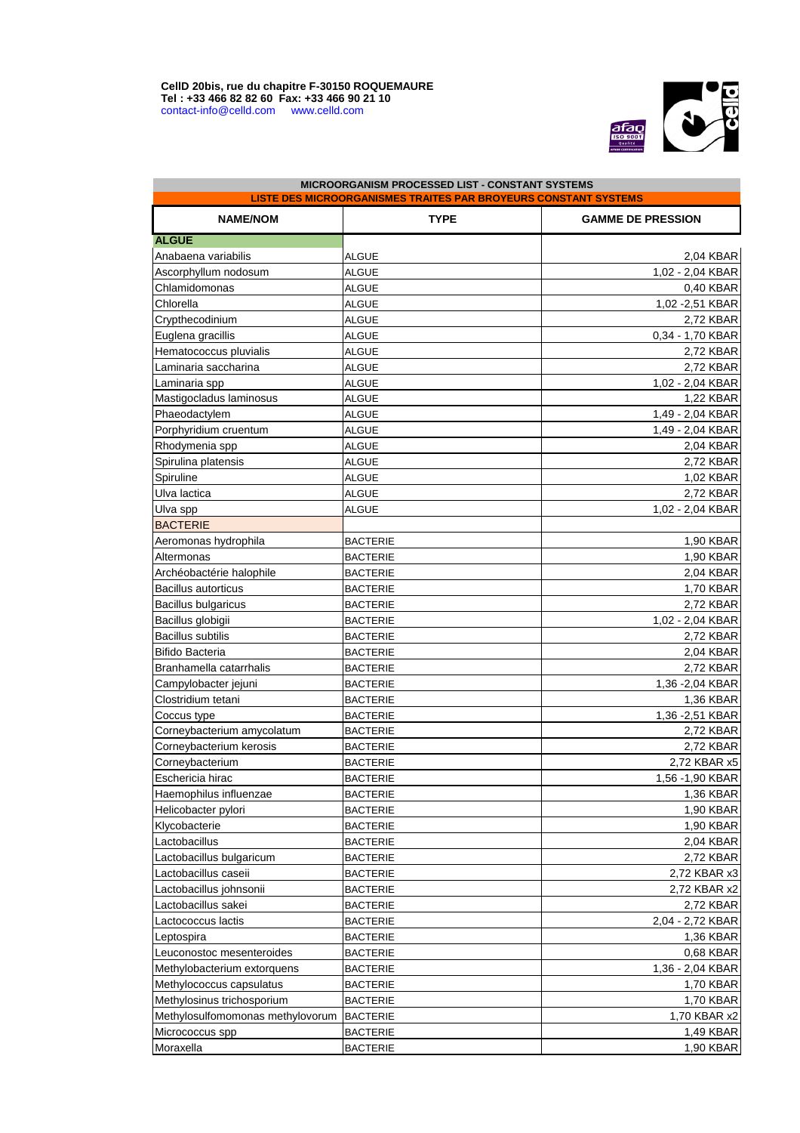$\overline{\mathbb{R}}$ 



| <b>LISTE DES MICROORGANISMES TRAITES PAR BROYEURS CONSTANT SYSTEMS</b> |                 |                          |  |
|------------------------------------------------------------------------|-----------------|--------------------------|--|
| <b>NAME/NOM</b>                                                        | <b>TYPE</b>     | <b>GAMME DE PRESSION</b> |  |
| <b>ALGUE</b>                                                           |                 |                          |  |
| Anabaena variabilis                                                    | <b>ALGUE</b>    | 2,04 KBAR                |  |
| Ascorphyllum nodosum                                                   | <b>ALGUE</b>    | 1,02 - 2,04 KBAR         |  |
| Chlamidomonas                                                          | <b>ALGUE</b>    | 0,40 KBAR                |  |
| Chlorella                                                              | <b>ALGUE</b>    | 1,02 - 2,51 KBAR         |  |
| Crypthecodinium                                                        | <b>ALGUE</b>    | 2,72 KBAR                |  |
| Euglena gracillis                                                      | <b>ALGUE</b>    | 0,34 - 1,70 KBAR         |  |
| Hematococcus pluvialis                                                 | <b>ALGUE</b>    | 2,72 KBAR                |  |
| Laminaria saccharina                                                   | <b>ALGUE</b>    | 2,72 KBAR                |  |
| Laminaria spp                                                          | <b>ALGUE</b>    | 1,02 - 2,04 KBAR         |  |
| Mastigocladus laminosus                                                | <b>ALGUE</b>    | 1,22 KBAR                |  |
| Phaeodactylem                                                          | <b>ALGUE</b>    | 1,49 - 2,04 KBAR         |  |
| Porphyridium cruentum                                                  | <b>ALGUE</b>    | 1,49 - 2,04 KBAR         |  |
| Rhodymenia spp                                                         | <b>ALGUE</b>    | 2,04 KBAR                |  |
| Spirulina platensis                                                    | <b>ALGUE</b>    | 2,72 KBAR                |  |
| Spiruline                                                              | <b>ALGUE</b>    | 1,02 KBAR                |  |
| Ulva lactica                                                           | <b>ALGUE</b>    | 2,72 KBAR                |  |
| Ulva spp                                                               | <b>ALGUE</b>    | 1,02 - 2,04 KBAR         |  |
| <b>BACTERIE</b>                                                        |                 |                          |  |
| Aeromonas hydrophila                                                   | <b>BACTERIE</b> | 1,90 KBAR                |  |
| Altermonas                                                             | <b>BACTERIE</b> | 1,90 KBAR                |  |
| Archéobactérie halophile                                               | <b>BACTERIE</b> | 2,04 KBAR                |  |
| <b>Bacillus autorticus</b>                                             | <b>BACTERIE</b> | 1,70 KBAR                |  |
| <b>Bacillus bulgaricus</b>                                             | <b>BACTERIE</b> | 2,72 KBAR                |  |
| Bacillus globigii                                                      | <b>BACTERIE</b> | 1,02 - 2,04 KBAR         |  |
| <b>Bacillus subtilis</b>                                               | <b>BACTERIE</b> | 2,72 KBAR                |  |
| <b>Bifido Bacteria</b>                                                 | <b>BACTERIE</b> | 2,04 KBAR                |  |
| Branhamella catarrhalis                                                | <b>BACTERIE</b> | 2,72 KBAR                |  |
| Campylobacter jejuni                                                   | <b>BACTERIE</b> | 1,36 - 2,04 KBAR         |  |
| Clostridium tetani                                                     | <b>BACTERIE</b> | 1,36 KBAR                |  |
| Coccus type                                                            | <b>BACTERIE</b> | 1,36 - 2,51 KBAR         |  |
| Corneybacterium amycolatum                                             | <b>BACTERIE</b> | 2,72 KBAR                |  |
| Corneybacterium kerosis                                                | <b>BACTERIE</b> | 2,72 KBAR                |  |
| Corneybacterium                                                        | <b>BACTERIE</b> | 2,72 KBAR x5             |  |
| Eschericia hirac                                                       |                 |                          |  |
|                                                                        | <b>BACTERIE</b> | 1,56 - 1,90 KBAR         |  |
| Haemophilus influenzae                                                 | <b>BACTERIE</b> | 1,36 KBAR                |  |
| Helicobacter pylori                                                    | <b>BACTERIE</b> | 1,90 KBAR                |  |
| Klycobacterie                                                          | <b>BACTERIE</b> | 1,90 KBAR                |  |
| Lactobacillus                                                          | <b>BACTERIE</b> | 2,04 KBAR                |  |
| Lactobacillus bulgaricum                                               | <b>BACTERIE</b> | 2,72 KBAR                |  |
| Lactobacillus caseii                                                   | <b>BACTERIE</b> | 2,72 KBAR x3             |  |
| Lactobacillus johnsonii                                                | <b>BACTERIE</b> | 2,72 KBAR x2             |  |
| Lactobacillus sakei                                                    | <b>BACTERIE</b> | 2,72 KBAR                |  |
| Lactococcus lactis                                                     | <b>BACTERIE</b> | 2,04 - 2,72 KBAR         |  |
| Leptospira                                                             | <b>BACTERIE</b> | 1,36 KBAR                |  |
| Leuconostoc mesenteroides                                              | <b>BACTERIE</b> | 0,68 KBAR                |  |
| Methylobacterium extorquens                                            | <b>BACTERIE</b> | 1,36 - 2,04 KBAR         |  |
| Methylococcus capsulatus                                               | <b>BACTERIE</b> | 1,70 KBAR                |  |
| Methylosinus trichosporium                                             | <b>BACTERIE</b> | 1,70 KBAR                |  |
| Methylosulfomomonas methylovorum                                       | <b>BACTERIE</b> | 1,70 KBAR x2             |  |
| Micrococcus spp                                                        | <b>BACTERIE</b> | 1,49 KBAR                |  |
| Moraxella                                                              | <b>BACTERIE</b> | 1,90 KBAR                |  |

## **MICROORGANISM PROCESSED LIST - CONSTANT SYSTEMS**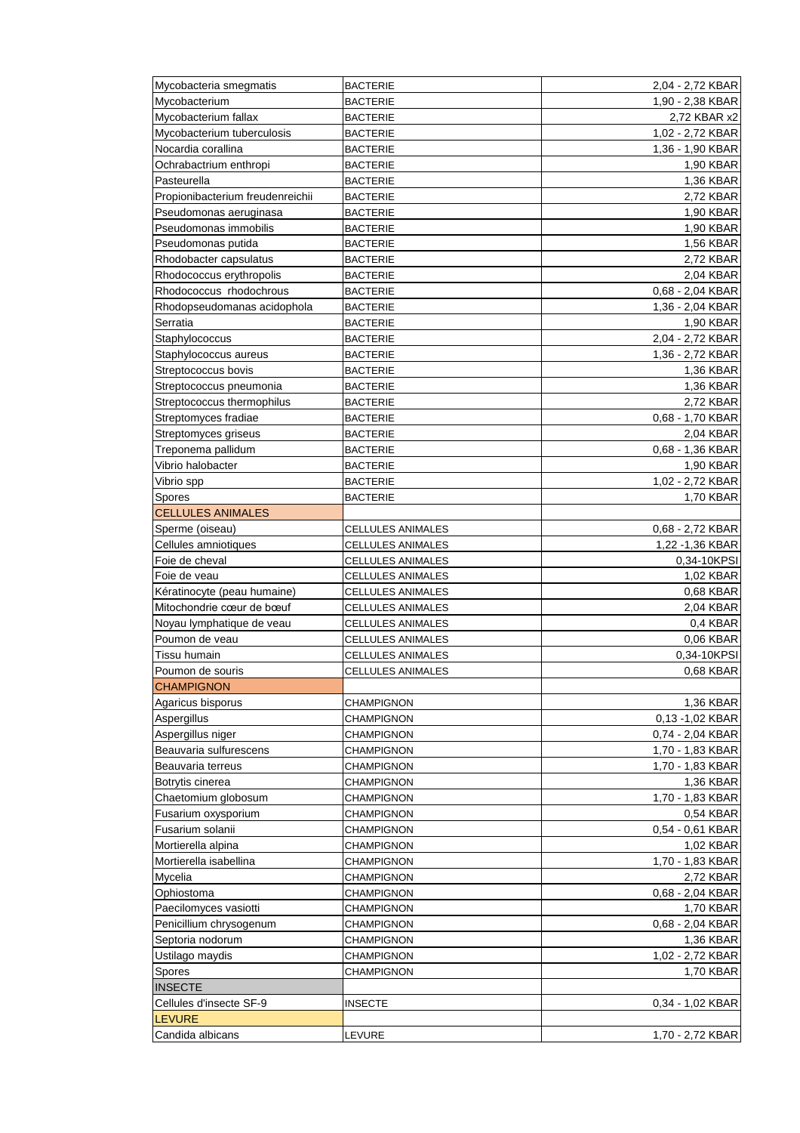| Mycobacteria smegmatis           | <b>BACTERIE</b>          | 2,04 - 2,72 KBAR |
|----------------------------------|--------------------------|------------------|
| Mycobacterium                    | <b>BACTERIE</b>          | 1,90 - 2,38 KBAR |
| Mycobacterium fallax             | <b>BACTERIE</b>          | 2,72 KBAR x2     |
| Mycobacterium tuberculosis       | <b>BACTERIE</b>          | 1,02 - 2,72 KBAR |
| Nocardia corallina               | <b>BACTERIE</b>          | 1,36 - 1,90 KBAR |
| Ochrabactrium enthropi           | <b>BACTERIE</b>          | 1,90 KBAR        |
| Pasteurella                      | <b>BACTERIE</b>          | 1,36 KBAR        |
| Propionibacterium freudenreichii | <b>BACTERIE</b>          | 2,72 KBAR        |
| Pseudomonas aeruginasa           | <b>BACTERIE</b>          | 1,90 KBAR        |
| Pseudomonas immobilis            | <b>BACTERIE</b>          | 1,90 KBAR        |
| Pseudomonas putida               | <b>BACTERIE</b>          | <b>1,56 KBAR</b> |
| Rhodobacter capsulatus           | <b>BACTERIE</b>          | 2,72 KBAR        |
| Rhodococcus erythropolis         | <b>BACTERIE</b>          | 2,04 KBAR        |
| Rhodococcus rhodochrous          | <b>BACTERIE</b>          | 0,68 - 2,04 KBAR |
| Rhodopseudomanas acidophola      | <b>BACTERIE</b>          | 1,36 - 2,04 KBAR |
| Serratia                         | <b>BACTERIE</b>          | 1,90 KBAR        |
| Staphylococcus                   | <b>BACTERIE</b>          | 2,04 - 2,72 KBAR |
| Staphylococcus aureus            | <b>BACTERIE</b>          | 1,36 - 2,72 KBAR |
| Streptococcus bovis              | <b>BACTERIE</b>          |                  |
|                                  |                          | 1,36 KBAR        |
| Streptococcus pneumonia          | <b>BACTERIE</b>          | 1,36 KBAR        |
| Streptococcus thermophilus       | <b>BACTERIE</b>          | 2,72 KBAR        |
| Streptomyces fradiae             | <b>BACTERIE</b>          | 0,68 - 1,70 KBAR |
| Streptomyces griseus             | <b>BACTERIE</b>          | 2,04 KBAR        |
| Treponema pallidum               | <b>BACTERIE</b>          | 0,68 - 1,36 KBAR |
| Vibrio halobacter                | <b>BACTERIE</b>          | 1,90 KBAR        |
| Vibrio spp                       | <b>BACTERIE</b>          | 1,02 - 2,72 KBAR |
| Spores                           | <b>BACTERIE</b>          | 1,70 KBAR        |
| <b>CELLULES ANIMALES</b>         |                          |                  |
| Sperme (oiseau)                  | <b>CELLULES ANIMALES</b> | 0,68 - 2,72 KBAR |
| Cellules amniotiques             | <b>CELLULES ANIMALES</b> | 1,22 - 1,36 KBAR |
| Foie de cheval                   | <b>CELLULES ANIMALES</b> | 0.34-10KPSI      |
| Foie de veau                     | <b>CELLULES ANIMALES</b> | 1,02 KBAR        |
| Kératinocyte (peau humaine)      | <b>CELLULES ANIMALES</b> | 0,68 KBAR        |
| Mitochondrie cœur de bœuf        | CELLULES ANIMALES        | 2,04 KBAR        |
| Noyau lymphatique de veau        | <b>CELLULES ANIMALES</b> | 0,4 KBAR         |
| Poumon de veau                   | <b>CELLULES ANIMALES</b> | 0,06 KBAR        |
| Tissu humain                     | <b>CELLULES ANIMALES</b> | 0,34-10KPSI      |
| Poumon de souris                 | <b>CELLULES ANIMALES</b> | 0,68 KBAR        |
| <b>CHAMPIGNON</b>                |                          |                  |
| Agaricus bisporus                | <b>CHAMPIGNON</b>        | 1,36 KBAR        |
| Aspergillus                      | <b>CHAMPIGNON</b>        | 0,13 -1,02 KBAR  |
| Aspergillus niger                | <b>CHAMPIGNON</b>        | 0,74 - 2,04 KBAR |
| Beauvaria sulfurescens           | <b>CHAMPIGNON</b>        | 1,70 - 1,83 KBAR |
| Beauvaria terreus                | <b>CHAMPIGNON</b>        | 1,70 - 1,83 KBAR |
| Botrytis cinerea                 | <b>CHAMPIGNON</b>        | 1,36 KBAR        |
| Chaetomium globosum              | <b>CHAMPIGNON</b>        | 1,70 - 1,83 KBAR |
| Fusarium oxysporium              | <b>CHAMPIGNON</b>        | 0,54 KBAR        |
| Fusarium solanii                 | <b>CHAMPIGNON</b>        | 0,54 - 0,61 KBAR |
| Mortierella alpina               | <b>CHAMPIGNON</b>        | 1,02 KBAR        |
| Mortierella isabellina           | <b>CHAMPIGNON</b>        | 1,70 - 1,83 KBAR |
| Mycelia                          | <b>CHAMPIGNON</b>        | 2,72 KBAR        |
| Ophiostoma                       | <b>CHAMPIGNON</b>        | 0,68 - 2,04 KBAR |
| Paecilomyces vasiotti            | <b>CHAMPIGNON</b>        | 1,70 KBAR        |
| Penicillium chrysogenum          | <b>CHAMPIGNON</b>        | 0,68 - 2,04 KBAR |
|                                  |                          | 1,36 KBAR        |
| Septoria nodorum                 | <b>CHAMPIGNON</b>        |                  |
| Ustilago maydis                  | <b>CHAMPIGNON</b>        | 1,02 - 2,72 KBAR |
| Spores                           | <b>CHAMPIGNON</b>        | 1,70 KBAR        |
| <b>INSECTE</b>                   |                          |                  |
| Cellules d'insecte SF-9          | <b>INSECTE</b>           | 0,34 - 1,02 KBAR |
| <b>LEVURE</b>                    |                          |                  |
| Candida albicans                 | LEVURE                   | 1,70 - 2,72 KBAR |